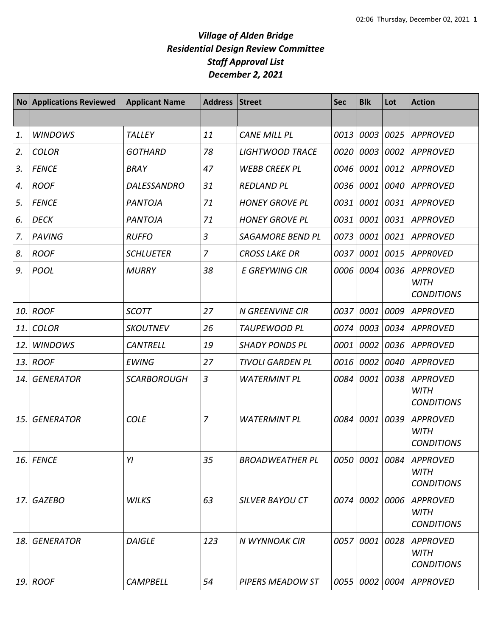|     | <b>No Applications Reviewed</b> | <b>Applicant Name</b> | <b>Address</b> | <b>Street</b>           | <b>Sec</b> | <b>Blk</b> | Lot  | <b>Action</b>                                       |
|-----|---------------------------------|-----------------------|----------------|-------------------------|------------|------------|------|-----------------------------------------------------|
|     |                                 |                       |                |                         |            |            |      |                                                     |
| 1.  | <b>WINDOWS</b>                  | <b>TALLEY</b>         | 11             | <b>CANE MILL PL</b>     | 0013       | 0003       | 0025 | <b>APPROVED</b>                                     |
| 2.  | <b>COLOR</b>                    | <b>GOTHARD</b>        | 78             | <b>LIGHTWOOD TRACE</b>  | 0020       | 0003       |      | 0002 APPROVED                                       |
| 3.  | <b>FENCE</b>                    | <b>BRAY</b>           | 47             | <b>WEBB CREEK PL</b>    | 0046       | 0001       |      | 0012 APPROVED                                       |
| 4.  | <b>ROOF</b>                     | <b>DALESSANDRO</b>    | 31             | <b>REDLAND PL</b>       | 0036       | 0001       |      | 0040 APPROVED                                       |
| 5.  | <b>FENCE</b>                    | <b>PANTOJA</b>        | 71             | <b>HONEY GROVE PL</b>   | 0031       | 0001       | 0031 | <b>APPROVED</b>                                     |
| 6.  | <b>DECK</b>                     | <b>PANTOJA</b>        | 71             | <b>HONEY GROVE PL</b>   | 0031       | 0001       | 0031 | <b>APPROVED</b>                                     |
| 7.  | PAVING                          | <b>RUFFO</b>          | 3              | <b>SAGAMORE BEND PL</b> | 0073       | 0001       | 0021 | <b>APPROVED</b>                                     |
| 8.  | <b>ROOF</b>                     | <b>SCHLUETER</b>      | 7              | <b>CROSS LAKE DR</b>    | 0037       | 0001       | 0015 | APPROVED                                            |
| 9.  | <b>POOL</b>                     | <b>MURRY</b>          | 38             | <b>E GREYWING CIR</b>   | 0006       | 0004       | 0036 | <b>APPROVED</b><br><b>WITH</b><br><b>CONDITIONS</b> |
| 10. | <b>ROOF</b>                     | <b>SCOTT</b>          | 27             | <b>N GREENVINE CIR</b>  | 0037       | 0001       | 0009 | <b>APPROVED</b>                                     |
| 11. | <b>COLOR</b>                    | <b>SKOUTNEV</b>       | 26             | <b>TAUPEWOOD PL</b>     | 0074       | 0003       |      | 0034 APPROVED                                       |
| 12. | <b>WINDOWS</b>                  | <b>CANTRELL</b>       | 19             | <b>SHADY PONDS PL</b>   | 0001       | 0002       | 0036 | <b>APPROVED</b>                                     |
| 13. | <b>ROOF</b>                     | <b>EWING</b>          | 27             | <b>TIVOLI GARDEN PL</b> | 0016       | 0002       |      | 0040 APPROVED                                       |
| 14. | <b>GENERATOR</b>                | <b>SCARBOROUGH</b>    | 3              | <b>WATERMINT PL</b>     | 0084       | 0001       | 0038 | <b>APPROVED</b><br><b>WITH</b><br><b>CONDITIONS</b> |
| 15. | <b>GENERATOR</b>                | <b>COLE</b>           | 7              | <b>WATERMINT PL</b>     | 0084       | 0001       | 0039 | <b>APPROVED</b><br><b>WITH</b><br><b>CONDITIONS</b> |
|     | 16. FENCE                       | YI                    | 35             | <b>BROADWEATHER PL</b>  | 0050       | 0001 0084  |      | <b>APPROVED</b><br><b>WITH</b><br><b>CONDITIONS</b> |
|     | 17. GAZEBO                      | <b>WILKS</b>          | 63             | <b>SILVER BAYOU CT</b>  | 0074       | 0002       | 0006 | <b>APPROVED</b><br><b>WITH</b><br><b>CONDITIONS</b> |
|     | 18. GENERATOR                   | <b>DAIGLE</b>         | 123            | N WYNNOAK CIR           | 0057       | 0001       | 0028 | <b>APPROVED</b><br><b>WITH</b><br><b>CONDITIONS</b> |
| 19. | ROOF                            | <b>CAMPBELL</b>       | 54             | PIPERS MEADOW ST        | 0055       | 0002       | 0004 | <b>APPROVED</b>                                     |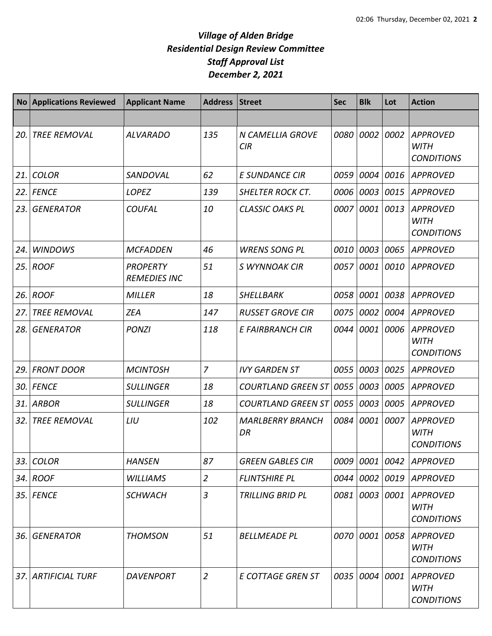| <b>No</b> | <b>Applications Reviewed</b> | <b>Applicant Name</b>                  | <b>Address</b> | <b>Street</b>                  | <b>Sec</b> | <b>Blk</b> | Lot  | <b>Action</b>                                       |
|-----------|------------------------------|----------------------------------------|----------------|--------------------------------|------------|------------|------|-----------------------------------------------------|
|           |                              |                                        |                |                                |            |            |      |                                                     |
| 20.       | <b>TREE REMOVAL</b>          | <b>ALVARADO</b>                        | 135            | N CAMELLIA GROVE<br><b>CIR</b> | 0080       | 0002       | 0002 | <b>APPROVED</b><br><b>WITH</b><br><b>CONDITIONS</b> |
| 21.       | <b>COLOR</b>                 | SANDOVAL                               | 62             | <b>E SUNDANCE CIR</b>          | 0059       | 0004       | 0016 | <b>APPROVED</b>                                     |
| 22.       | <b>FENCE</b>                 | <b>LOPEZ</b>                           | 139            | <b>SHELTER ROCK CT.</b>        | 0006       | 0003       | 0015 | <b>APPROVED</b>                                     |
| 23.       | <b>GENERATOR</b>             | <b>COUFAL</b>                          | 10             | <b>CLASSIC OAKS PL</b>         | 0007       | 0001       | 0013 | <b>APPROVED</b><br><b>WITH</b><br><b>CONDITIONS</b> |
| 24.       | <b>WINDOWS</b>               | <b>MCFADDEN</b>                        | 46             | <b>WRENS SONG PL</b>           | 0010       | 0003       | 0065 | <b>APPROVED</b>                                     |
| 25.       | <b>ROOF</b>                  | <b>PROPERTY</b><br><b>REMEDIES INC</b> | 51             | S WYNNOAK CIR                  | 0057       | 0001       | 0010 | <b>APPROVED</b>                                     |
| 26.       | <b>ROOF</b>                  | <b>MILLER</b>                          | 18             | <b>SHELLBARK</b>               | 0058       | 0001       | 0038 | <b>APPROVED</b>                                     |
| 27.       | <b>TREE REMOVAL</b>          | <b>ZEA</b>                             | 147            | <b>RUSSET GROVE CIR</b>        | 0075       | 0002       | 0004 | <b>APPROVED</b>                                     |
| 28.       | <b>GENERATOR</b>             | <b>PONZI</b>                           | 118            | E FAIRBRANCH CIR               | 0044       | 0001       | 0006 | <b>APPROVED</b><br><b>WITH</b><br><b>CONDITIONS</b> |
| 29.       | <b>FRONT DOOR</b>            | <b>MCINTOSH</b>                        | $\overline{7}$ | <b>IVY GARDEN ST</b>           | 0055       | 0003       | 0025 | <b>APPROVED</b>                                     |
| 30.       | <b>FENCE</b>                 | <b>SULLINGER</b>                       | 18             | <b>COURTLAND GREEN ST</b>      | 0055       | 0003       | 0005 | <b>APPROVED</b>                                     |
| 31.       | <b>ARBOR</b>                 | <b>SULLINGER</b>                       | 18             | <b>COURTLAND GREEN ST</b>      | 0055       | 0003       | 0005 | <b>APPROVED</b>                                     |
| 32.       | <b>TREE REMOVAL</b>          | LIU                                    | 102            | <b>MARLBERRY BRANCH</b><br>DR  | 0084       | 0001       | 0007 | <b>APPROVED</b><br><b>WITH</b><br><b>CONDITIONS</b> |
|           | 33. COLOR                    | <b>HANSEN</b>                          | 87             | <b>GREEN GABLES CIR</b>        | 0009       |            |      | 0001 0042 APPROVED                                  |
|           | 34. ROOF                     | <b>WILLIAMS</b>                        | $\overline{2}$ | <b>FLINTSHIRE PL</b>           | 0044       | 0002       |      | 0019 APPROVED                                       |
|           | 35. FENCE                    | <b>SCHWACH</b>                         | 3              | <b>TRILLING BRID PL</b>        | 0081       | 0003       | 0001 | <b>APPROVED</b><br><b>WITH</b><br><b>CONDITIONS</b> |
| 36.       | <b>GENERATOR</b>             | <b>THOMSON</b>                         | 51             | <b>BELLMEADE PL</b>            | 0070       | 0001       | 0058 | <b>APPROVED</b><br><b>WITH</b><br><b>CONDITIONS</b> |
| 37.       | ARTIFICIAL TURF              | <b>DAVENPORT</b>                       | $\overline{2}$ | <b>E COTTAGE GREN ST</b>       | 0035       | 0004       | 0001 | <b>APPROVED</b><br><b>WITH</b><br><b>CONDITIONS</b> |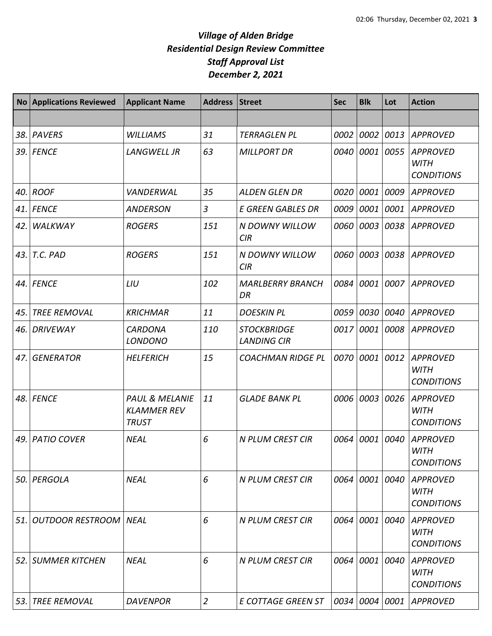| <b>No</b> | <b>Applications Reviewed</b> | <b>Applicant Name</b>                                           | Address Street |                                          | <b>Sec</b> | <b>Blk</b> | Lot  | <b>Action</b>                                       |
|-----------|------------------------------|-----------------------------------------------------------------|----------------|------------------------------------------|------------|------------|------|-----------------------------------------------------|
|           |                              |                                                                 |                |                                          |            |            |      |                                                     |
| 38.       | <b>PAVERS</b>                | <b>WILLIAMS</b>                                                 | 31             | <b>TERRAGLEN PL</b>                      | 0002       | 0002       | 0013 | <b>APPROVED</b>                                     |
|           | 39. FENCE                    | <b>LANGWELL JR</b>                                              | 63             | <b>MILLPORT DR</b>                       | 0040       | 0001       | 0055 | <b>APPROVED</b><br><b>WITH</b><br><b>CONDITIONS</b> |
| 40.       | <b>ROOF</b>                  | VANDERWAL                                                       | 35             | <b>ALDEN GLEN DR</b>                     | 0020       | 0001       | 0009 | <b>APPROVED</b>                                     |
| 41.       | <b>FENCE</b>                 | <b>ANDERSON</b>                                                 | $\overline{3}$ | <b>E GREEN GABLES DR</b>                 | 0009       | 0001       | 0001 | <b>APPROVED</b>                                     |
| 42.       | WALKWAY                      | <b>ROGERS</b>                                                   | 151            | N DOWNY WILLOW<br>CIR                    | 0060       | 0003       | 0038 | <b>APPROVED</b>                                     |
| 43.       | T.C. PAD                     | <b>ROGERS</b>                                                   | 151            | N DOWNY WILLOW<br>CIR                    | 0060       | 0003       | 0038 | <b>APPROVED</b>                                     |
|           | 44. FENCE                    | LIU                                                             | 102            | <b>MARLBERRY BRANCH</b><br>DR            | 0084       | 0001       | 0007 | <b>APPROVED</b>                                     |
| 45.       | <b>TREE REMOVAL</b>          | <b>KRICHMAR</b>                                                 | 11             | <b>DOESKIN PL</b>                        | 0059       | 0030       | 0040 | <b>APPROVED</b>                                     |
| 46.       | <b>DRIVEWAY</b>              | <b>CARDONA</b><br><b>LONDONO</b>                                | 110            | <b>STOCKBRIDGE</b><br><b>LANDING CIR</b> | 0017       | 0001       | 0008 | <b>APPROVED</b>                                     |
| 47.       | <b>GENERATOR</b>             | <b>HELFERICH</b>                                                | 15             | <b>COACHMAN RIDGE PL</b>                 | 0070       | 0001       | 0012 | <b>APPROVED</b><br><b>WITH</b><br><b>CONDITIONS</b> |
|           | 48. FENCE                    | <b>PAUL &amp; MELANIE</b><br><b>KLAMMER REV</b><br><b>TRUST</b> | 11             | <b>GLADE BANK PL</b>                     | 0006       | 0003       | 0026 | <b>APPROVED</b><br><b>WITH</b><br><b>CONDITIONS</b> |
| 49.       | <b>PATIO COVER</b>           | <b>NEAL</b>                                                     | 6              | N PLUM CREST CIR                         | 0064       | 0001       | 0040 | <b>APPROVED</b><br><b>WITH</b><br><b>CONDITIONS</b> |
| 50.       | PERGOLA                      | <b>NEAL</b>                                                     | 6              | <b>N PLUM CREST CIR</b>                  |            | 0064 0001  | 0040 | <b>APPROVED</b><br><b>WITH</b><br><b>CONDITIONS</b> |
| 51.       | <b>OUTDOOR RESTROOM</b>      | <b>NEAL</b>                                                     | 6              | <b>N PLUM CREST CIR</b>                  | 0064       | 0001       | 0040 | <b>APPROVED</b><br><b>WITH</b><br><b>CONDITIONS</b> |
|           | 52. SUMMER KITCHEN           | <b>NEAL</b>                                                     | 6              | <b>N PLUM CREST CIR</b>                  | 0064       | 0001       | 0040 | <b>APPROVED</b><br><b>WITH</b><br><b>CONDITIONS</b> |
| 53.       | <b>TREE REMOVAL</b>          | <b>DAVENPOR</b>                                                 | $\overline{2}$ | E COTTAGE GREEN ST                       | 0034       | 0004       | 0001 | <b>APPROVED</b>                                     |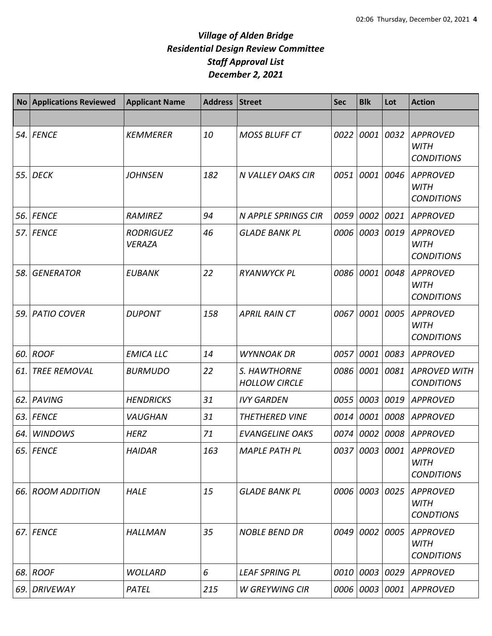|       | No Applications Reviewed | <b>Applicant Name</b>             | <b>Address</b> | <b>Street</b>                        | <b>Sec</b> | <b>Blk</b> | Lot  | <b>Action</b>                                               |
|-------|--------------------------|-----------------------------------|----------------|--------------------------------------|------------|------------|------|-------------------------------------------------------------|
|       |                          |                                   |                |                                      |            |            |      |                                                             |
| 54.   | <b>FENCE</b>             | <b>KEMMERER</b>                   | 10             | <b>MOSS BLUFF CT</b>                 | 0022       | 0001       | 0032 | <b>APPROVED</b><br><b>WITH</b><br><b>CONDITIONS</b>         |
| 55.   | <b>DECK</b>              | <b>JOHNSEN</b>                    | 182            | <b>N VALLEY OAKS CIR</b>             | 0051       | 0001       | 0046 | <b>APPROVED</b><br><b>WITH</b><br><b>CONDITIONS</b>         |
| 56.   | <b>FENCE</b>             | <b>RAMIREZ</b>                    | 94             | <b>N APPLE SPRINGS CIR</b>           | 0059       | 0002       | 0021 | <b>APPROVED</b>                                             |
|       | 57. FENCE                | <b>RODRIGUEZ</b><br><b>VERAZA</b> | 46             | <b>GLADE BANK PL</b>                 | 0006       | 0003       | 0019 | APPROVED<br><b>WITH</b><br><b>CONDITIONS</b>                |
| 58.   | <b>GENERATOR</b>         | <b>EUBANK</b>                     | 22             | <b>RYANWYCK PL</b>                   | 0086       | 0001       | 0048 | <b>APPROVED</b><br><b>WITH</b><br><b>CONDITIONS</b>         |
| 59.   | <b>PATIO COVER</b>       | <b>DUPONT</b>                     | 158            | <b>APRIL RAIN CT</b>                 | 0067       | 0001       | 0005 | <b>APPROVED</b><br><b>WITH</b><br><b>CONDITIONS</b>         |
| 60.   | <b>ROOF</b>              | <b>EMICA LLC</b>                  | 14             | <b>WYNNOAK DR</b>                    | 0057       | 0001       | 0083 | <b>APPROVED</b>                                             |
| 61.   | <b>TREE REMOVAL</b>      | <b>BURMUDO</b>                    | 22             | S. HAWTHORNE<br><b>HOLLOW CIRCLE</b> | 0086       | 0001       | 0081 | <b>APROVED WITH</b><br><b>CONDITIONS</b>                    |
| 62.   | <b>PAVING</b>            | <b>HENDRICKS</b>                  | 31             | <b>IVY GARDEN</b>                    | 0055       | 0003       | 0019 | <b>APPROVED</b>                                             |
| 63.1  | <b>FENCE</b>             | <b>VAUGHAN</b>                    | 31             | <b>THETHERED VINE</b>                | 0014       | 0001       | 0008 | <b>APPROVED</b>                                             |
| 64.   | <b>WINDOWS</b>           | <b>HERZ</b>                       | 71             | <b>EVANGELINE OAKS</b>               | 0074       | 0002       | 0008 | <b>APPROVED</b>                                             |
|       | 65. FENCE                | <b>HAIDAR</b>                     | 163            | <b>MAPLE PATH PL</b>                 |            |            |      | 0037 0003 0001 APPROVED<br><b>WITH</b><br><b>CONDITIONS</b> |
| 66. I | <b>ROOM ADDITION</b>     | <b>HALE</b>                       | 15             | <b>GLADE BANK PL</b>                 | 0006       | 0003       | 0025 | <b>APPROVED</b><br><b>WITH</b><br><b>CONDTIONS</b>          |
| 67. I | <b>FENCE</b>             | <b>HALLMAN</b>                    | 35             | <b>NOBLE BEND DR</b>                 | 0049       | 0002       | 0005 | <b>APPROVED</b><br><b>WITH</b><br><b>CONDITIONS</b>         |
| 68.   | <b>ROOF</b>              | <b>WOLLARD</b>                    | 6              | <b>LEAF SPRING PL</b>                | 0010       | 0003       | 0029 | <b>APPROVED</b>                                             |
| 69.   | <b>DRIVEWAY</b>          | PATEL                             | 215            | <b>W GREYWING CIR</b>                | 0006       | 0003       | 0001 | <b>APPROVED</b>                                             |